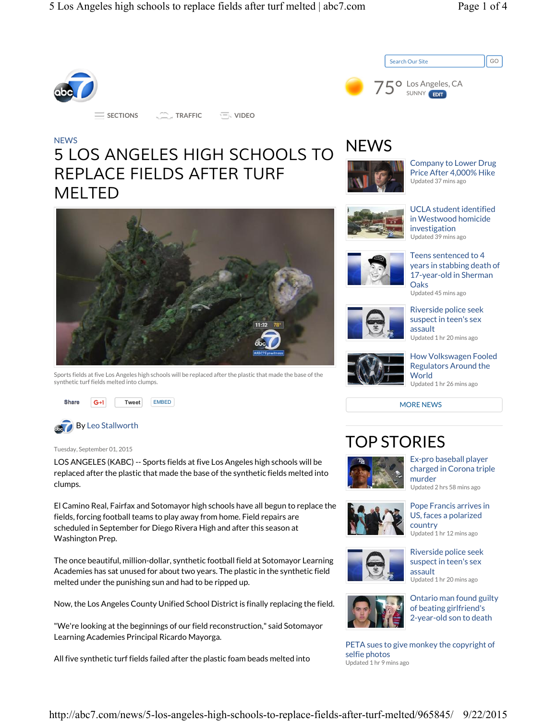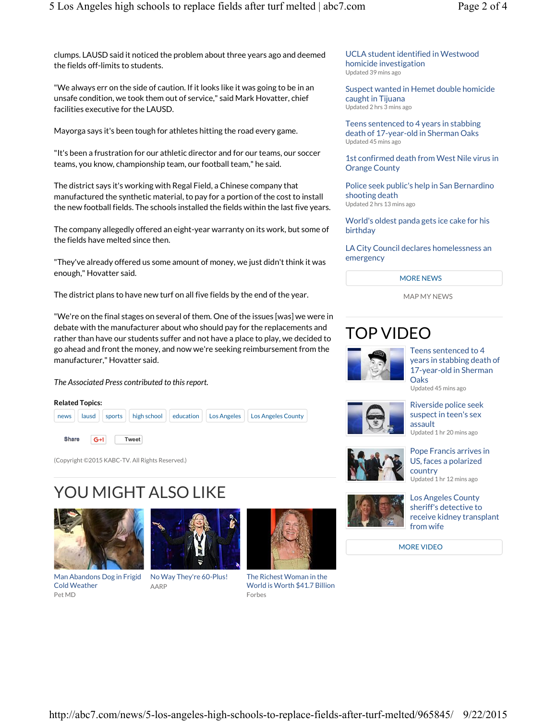clumps. LAUSD said it noticed the problem about three years ago and deemed the fields off-limits to students.

"We always err on the side of caution. If it looks like it was going to be in an unsafe condition, we took them out of service," said Mark Hovatter, chief facilities executive for the LAUSD.

Mayorga says it's been tough for athletes hitting the road every game.

"It's been a frustration for our athletic director and for our teams, our soccer teams, you know, championship team, our football team," he said.

The district says it's working with Regal Field, a Chinese company that manufactured the synthetic material, to pay for a portion of the cost to install the new football fields. The schools installed the fields within the last five years.

The company allegedly offered an eight-year warranty on its work, but some of the fields have melted since then.

"They've already offered us some amount of money, we just didn't think it was enough," Hovatter said.

The district plans to have new turf on all five fields by the end of the year.

"We're on the final stages on several of them. One of the issues [was] we were in debate with the manufacturer about who should pay for the replacements and rather than have our students suffer and not have a place to play, we decided to go ahead and front the money, and now we're seeking reimbursement from the manufacturer," Hovatter said.

#### *The Associated Press contributed to this report.*



(Copyright ©2015 KABC-TV. All Rights Reserved.)

# YOU MIGHT ALSO LIKE



Man Abandons Dog in Frigid Cold Weather Pet MD



No Way They're 60-Plus! AARP



The Richest Woman in the World is Worth \$41.7 Billion Forbes



Suspect wanted in Hemet double homicide caught in Tijuana Updated 2 hrs 3 mins ago

Teens sentenced to 4 years in stabbing death of 17-year-old in Sherman Oaks Updated 45 mins ago

1st confirmed death from West Nile virus in Orange County

Police seek public's help in San Bernardino shooting death Updated 2 hrs 13 mins ago

World's oldest panda gets ice cake for his birthday

LA City Council declares homelessness an emergency

#### MORE NEWS

MAP MY NEWS

## TOP VIDEO



Teens sentenced to 4 years in stabbing death of 17-year-old in Sherman **Oaks** 

Updated 45 mins ago



Riverside police seek suspect in teen's sex assault Updated 1 hr 20 mins ago



Pope Francis arrives in US, faces a polarized country Updated 1 hr 12 mins ago



Los Angeles County sheriff's detective to receive kidney transplant

MORE VIDEO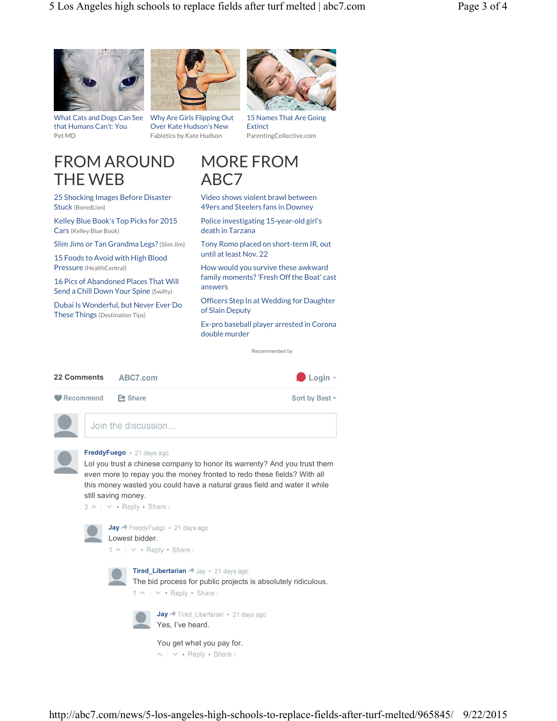



What Cats and Dogs Can See Why Are Girls Flipping Out that Humans Can't: You Pet MD

Over Kate Hudson's New Fabletics by Kate Hudson



15 Names That Are Going **Extinct** ParentingCollective.com

### FROM AROUND THE WEB

25 Shocking Images Before Disaster Stuck (BoredLion)

Kelley Blue Book's Top Picks for 2015 Cars (Kelley Blue Book)

Slim Jims or Tan Grandma Legs? (Slim Jim)

15 Foods to Avoid with High Blood Pressure (HealthCentral)

16 Pics of Abandoned Places That Will Send a Chill Down Your Spine (Swifty)

Dubai Is Wonderful, but Never Ever Do These Things (Destination Tips)



Video shows violent brawl between 49ers and Steelers fans in Downey

Police investigating 15-year-old girl's death in Tarzana

Tony Romo placed on short-term IR, out until at least Nov. 22

How would you survive these awkward family moments? 'Fresh Off the Boat' cast answers

Officers Step In at Wedding for Daughter of Slain Deputy

Ex-pro baseball player arrested in Corona double murder

Recommended by

| <b>22 Comments</b>         | ABC7.com            | $\bigoplus$ Login $\tau$ |
|----------------------------|---------------------|--------------------------|
| ● Recommend <b>2</b> Share |                     | Sort by Best -           |
|                            | Join the discussion |                          |



Lol you trust a chinese company to honor its warrenty? And you trust them even more to repay you the money fronted to redo these fields? With all this money wasted you could have a natural grass field and water it while still saving money.

 $3 \wedge \vert \vee \cdot$  Reply  $\cdot$  Share  $\vee$